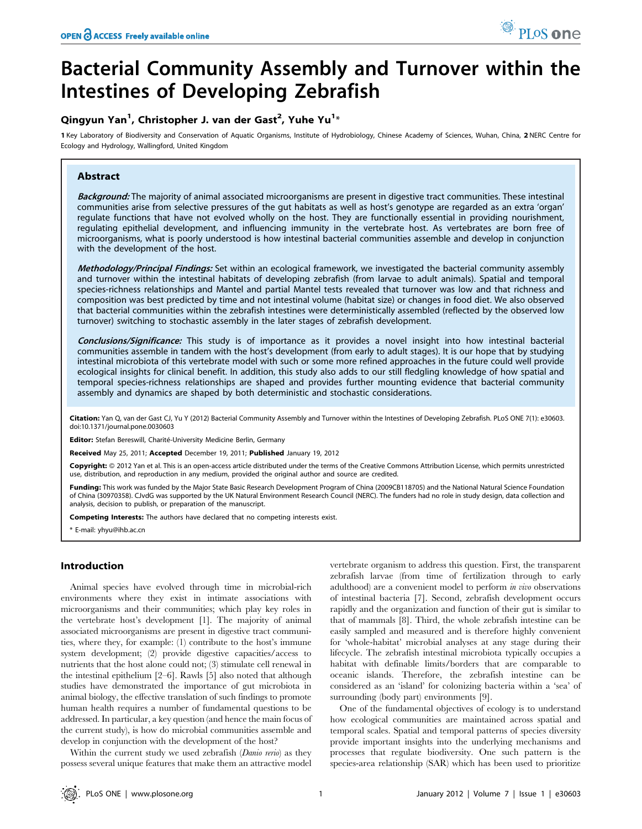# Bacterial Community Assembly and Turnover within the Intestines of Developing Zebrafish

# Qingyun Yan $^1$ , Christopher J. van der Gast $^2$ , Yuhe Yu $^{1_\ast}$

1 Key Laboratory of Biodiversity and Conservation of Aquatic Organisms, Institute of Hydrobiology, Chinese Academy of Sciences, Wuhan, China, 2 NERC Centre for Ecology and Hydrology, Wallingford, United Kingdom

# Abstract

Background: The majority of animal associated microorganisms are present in digestive tract communities. These intestinal communities arise from selective pressures of the gut habitats as well as host's genotype are regarded as an extra 'organ' regulate functions that have not evolved wholly on the host. They are functionally essential in providing nourishment, regulating epithelial development, and influencing immunity in the vertebrate host. As vertebrates are born free of microorganisms, what is poorly understood is how intestinal bacterial communities assemble and develop in conjunction with the development of the host.

Methodology/Principal Findings: Set within an ecological framework, we investigated the bacterial community assembly and turnover within the intestinal habitats of developing zebrafish (from larvae to adult animals). Spatial and temporal species-richness relationships and Mantel and partial Mantel tests revealed that turnover was low and that richness and composition was best predicted by time and not intestinal volume (habitat size) or changes in food diet. We also observed that bacterial communities within the zebrafish intestines were deterministically assembled (reflected by the observed low turnover) switching to stochastic assembly in the later stages of zebrafish development.

Conclusions/Significance: This study is of importance as it provides a novel insight into how intestinal bacterial communities assemble in tandem with the host's development (from early to adult stages). It is our hope that by studying intestinal microbiota of this vertebrate model with such or some more refined approaches in the future could well provide ecological insights for clinical benefit. In addition, this study also adds to our still fledgling knowledge of how spatial and temporal species-richness relationships are shaped and provides further mounting evidence that bacterial community assembly and dynamics are shaped by both deterministic and stochastic considerations.

Citation: Yan Q, van der Gast CJ, Yu Y (2012) Bacterial Community Assembly and Turnover within the Intestines of Developing Zebrafish. PLoS ONE 7(1): e30603. doi:10.1371/journal.pone.0030603

Editor: Stefan Bereswill, Charité-University Medicine Berlin, Germany

Received May 25, 2011; Accepted December 19, 2011; Published January 19, 2012

Copyright: © 2012 Yan et al. This is an open-access article distributed under the terms of the Creative Commons Attribution License, which permits unrestricted use, distribution, and reproduction in any medium, provided the original author and source are credited.

Funding: This work was funded by the Major State Basic Research Development Program of China (2009CB118705) and the National Natural Science Foundation of China (30970358). CJvdG was supported by the UK Natural Environment Research Council (NERC). The funders had no role in study design, data collection and analysis, decision to publish, or preparation of the manuscript.

Competing Interests: The authors have declared that no competing interests exist.

E-mail: yhyu@ihb.ac.cn

### Introduction

Animal species have evolved through time in microbial-rich environments where they exist in intimate associations with microorganisms and their communities; which play key roles in the vertebrate host's development [1]. The majority of animal associated microorganisms are present in digestive tract communities, where they, for example: (1) contribute to the host's immune system development; (2) provide digestive capacities/access to nutrients that the host alone could not; (3) stimulate cell renewal in the intestinal epithelium [2–6]. Rawls [5] also noted that although studies have demonstrated the importance of gut microbiota in animal biology, the effective translation of such findings to promote human health requires a number of fundamental questions to be addressed. In particular, a key question (and hence the main focus of the current study), is how do microbial communities assemble and develop in conjunction with the development of the host?

Within the current study we used zebrafish (*Danio rerio*) as they possess several unique features that make them an attractive model vertebrate organism to address this question. First, the transparent zebrafish larvae (from time of fertilization through to early adulthood) are a convenient model to perform in vivo observations of intestinal bacteria [7]. Second, zebrafish development occurs rapidly and the organization and function of their gut is similar to that of mammals [8]. Third, the whole zebrafish intestine can be easily sampled and measured and is therefore highly convenient for 'whole-habitat' microbial analyses at any stage during their lifecycle. The zebrafish intestinal microbiota typically occupies a habitat with definable limits/borders that are comparable to oceanic islands. Therefore, the zebrafish intestine can be considered as an 'island' for colonizing bacteria within a 'sea' of surrounding (body part) environments [9].

One of the fundamental objectives of ecology is to understand how ecological communities are maintained across spatial and temporal scales. Spatial and temporal patterns of species diversity provide important insights into the underlying mechanisms and processes that regulate biodiversity. One such pattern is the species-area relationship (SAR) which has been used to prioritize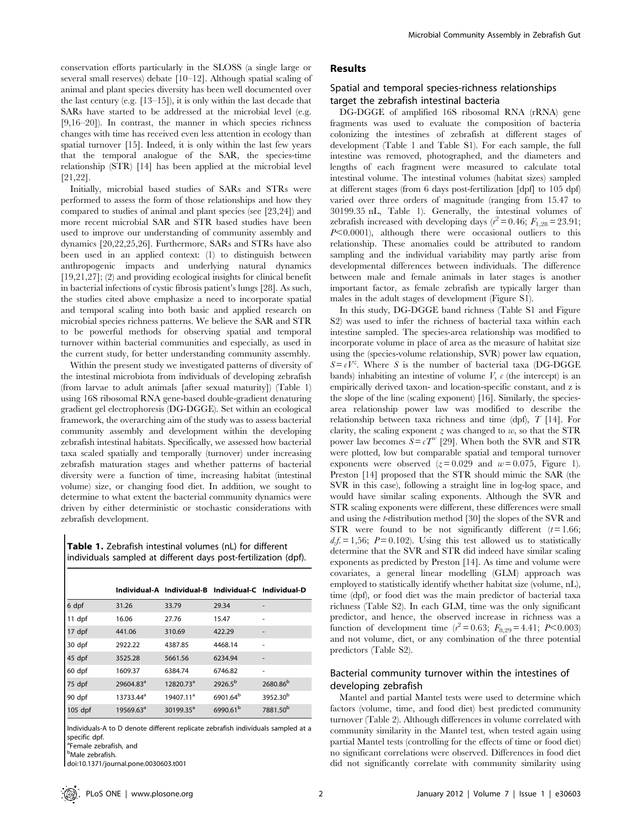conservation efforts particularly in the SLOSS (a single large or several small reserves) debate [10–12]. Although spatial scaling of animal and plant species diversity has been well documented over the last century (e.g. [13–15]), it is only within the last decade that SARs have started to be addressed at the microbial level (e.g. [9,16–20]). In contrast, the manner in which species richness changes with time has received even less attention in ecology than spatial turnover [15]. Indeed, it is only within the last few years that the temporal analogue of the SAR, the species-time relationship (STR) [14] has been applied at the microbial level [21,22].

Initially, microbial based studies of SARs and STRs were performed to assess the form of those relationships and how they compared to studies of animal and plant species (see [23,24]) and more recent microbial SAR and STR based studies have been used to improve our understanding of community assembly and dynamics [20,22,25,26]. Furthermore, SARs and STRs have also been used in an applied context: (1) to distinguish between anthropogenic impacts and underlying natural dynamics [19,21,27]; (2) and providing ecological insights for clinical benefit in bacterial infections of cystic fibrosis patient's lungs [28]. As such, the studies cited above emphasize a need to incorporate spatial and temporal scaling into both basic and applied research on microbial species richness patterns. We believe the SAR and STR to be powerful methods for observing spatial and temporal turnover within bacterial communities and especially, as used in the current study, for better understanding community assembly.

Within the present study we investigated patterns of diversity of the intestinal microbiota from individuals of developing zebrafish (from larvae to adult animals [after sexual maturity]) (Table 1) using 16S ribosomal RNA gene-based double-gradient denaturing gradient gel electrophoresis (DG-DGGE). Set within an ecological framework, the overarching aim of the study was to assess bacterial community assembly and development within the developing zebrafish intestinal habitats. Specifically, we assessed how bacterial taxa scaled spatially and temporally (turnover) under increasing zebrafish maturation stages and whether patterns of bacterial diversity were a function of time, increasing habitat (intestinal volume) size, or changing food diet. In addition, we sought to determine to what extent the bacterial community dynamics were driven by either deterministic or stochastic considerations with zebrafish development.

Table 1. Zebrafish intestinal volumes (nL) for different individuals sampled at different days post-fertilization (dpf).

|         |                       |                       | Individual-A Individual-B Individual-C Individual-D |                      |
|---------|-----------------------|-----------------------|-----------------------------------------------------|----------------------|
| 6 dpf   | 31.26                 | 33.79                 | 29.34                                               |                      |
| 11 dpf  | 16.06                 | 27.76                 | 15.47                                               |                      |
| 17 dpf  | 441.06                | 310.69                | 422.29                                              |                      |
| 30 dpf  | 2922.22               | 4387.85               | 4468.14                                             | ٠                    |
| 45 dpf  | 3525.28               | 5661.56               | 6234.94                                             |                      |
| 60 dpf  | 1609.37               | 6384.74               | 6746.82                                             | ٠                    |
| 75 dpf  | 29604.83 <sup>a</sup> | 12820.73 <sup>a</sup> | $2926.5^{b}$                                        | 2680.86 <sup>b</sup> |
| 90 dpf  | 13733.44 <sup>a</sup> | 19407.11 <sup>a</sup> | 6901.64 <sup>b</sup>                                | 3952.30 <sup>b</sup> |
| 105 dpf | 19569.63 <sup>a</sup> | $30199.35^a$          | 6990.61 <sup>b</sup>                                | 7881.50 <sup>b</sup> |

Individuals-A to D denote different replicate zebrafish individuals sampled at a specific dpf.

doi:10.1371/journal.pone.0030603.t001

# Results

## Spatial and temporal species-richness relationships target the zebrafish intestinal bacteria

DG-DGGE of amplified 16S ribosomal RNA (rRNA) gene fragments was used to evaluate the composition of bacteria colonizing the intestines of zebrafish at different stages of development (Table 1 and Table S1). For each sample, the full intestine was removed, photographed, and the diameters and lengths of each fragment were measured to calculate total intestinal volume. The intestinal volumes (habitat sizes) sampled at different stages (from 6 days post-fertilization [dpf] to 105 dpf) varied over three orders of magnitude (ranging from 15.47 to 30199.35 nL, Table 1). Generally, the intestinal volumes of zebrafish increased with developing days ( $r^2 = 0.46$ ;  $F_{1,28} = 23.91$ ;  $P<0.0001$ ), although there were occasional outliers to this relationship. These anomalies could be attributed to random sampling and the individual variability may partly arise from developmental differences between individuals. The difference between male and female animals in later stages is another important factor, as female zebrafish are typically larger than males in the adult stages of development (Figure S1).

In this study, DG-DGGE band richness (Table S1 and Figure S2) was used to infer the richness of bacterial taxa within each intestine sampled. The species-area relationship was modified to incorporate volume in place of area as the measure of habitat size using the (species-volume relationship, SVR) power law equation,  $S = cV^z$ . Where S is the number of bacterial taxa (DG-DGGE bands) inhabiting an intestine of volume  $V$ ,  $c$  (the intercept) is an empirically derived taxon- and location-specific constant, and z is the slope of the line (scaling exponent) [16]. Similarly, the speciesarea relationship power law was modified to describe the relationship between taxa richness and time (dpf), T [14]. For clarity, the scaling exponent  $z$  was changed to  $w$ , so that the STR power law becomes  $S = cT^w$  [29]. When both the SVR and STR were plotted, low but comparable spatial and temporal turnover exponents were observed  $(z=0.029$  and  $w=0.075$ , Figure 1). Preston [14] proposed that the STR should mimic the SAR (the SVR in this case), following a straight line in log-log space, and would have similar scaling exponents. Although the SVR and STR scaling exponents were different, these differences were small and using the t-distribution method [30] the slopes of the SVR and STR were found to be not significantly different  $(t = 1.66;$  $df = 1,56$ ;  $P = 0.102$ ). Using this test allowed us to statistically determine that the SVR and STR did indeed have similar scaling exponents as predicted by Preston [14]. As time and volume were covariates, a general linear modelling (GLM) approach was employed to statistically identify whether habitat size (volume, nL), time (dpf), or food diet was the main predictor of bacterial taxa richness (Table S2). In each GLM, time was the only significant predictor, and hence, the observed increase in richness was a function of development time  $(r^2 = 0.63; F_{8,29} = 4.41; P < 0.003)$ and not volume, diet, or any combination of the three potential predictors (Table S2).

# Bacterial community turnover within the intestines of developing zebrafish

Mantel and partial Mantel tests were used to determine which factors (volume, time, and food diet) best predicted community turnover (Table 2). Although differences in volume correlated with community similarity in the Mantel test, when tested again using partial Mantel tests (controlling for the effects of time or food diet) no significant correlations were observed. Differences in food diet did not significantly correlate with community similarity using

<sup>&</sup>lt;sup>a</sup>Female zebrafish, and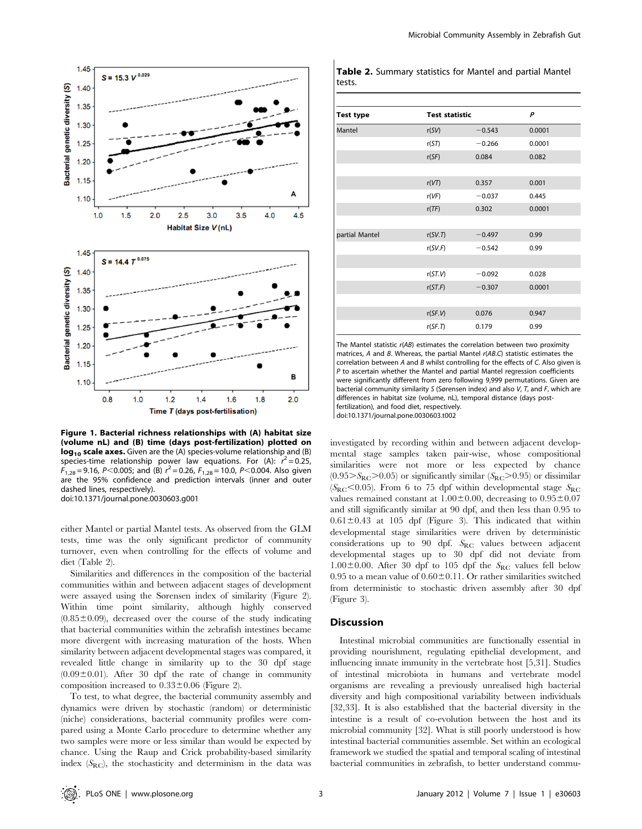

Figure 1. Bacterial richness relationships with (A) habitat size (volume nL) and (B) time (days post-fertilization) plotted on log<sub>10</sub> scale axes. Given are the (A) species-volume relationship and (B) species-time relationship power law equations. For (A):  $r^2 = 0.25$ ,  $F_{1,28} = 9.16$ , P<0.005; and (B)  $r^2 = 0.26$ ,  $F_{1,28} = 10.0$ , P<0.004. Also given are the 95% confidence and prediction intervals (inner and outer dashed lines, respectively). doi:10.1371/journal.pone.0030603.g001

either Mantel or partial Mantel tests. As observed from the GLM tests, time was the only significant predictor of community turnover, even when controlling for the effects of volume and diet (Table 2).

Similarities and differences in the composition of the bacterial communities within and between adjacent stages of development were assayed using the Sørensen index of similarity (Figure 2). Within time point similarity, although highly conserved  $(0.85\pm0.09)$ , decreased over the course of the study indicating that bacterial communities within the zebrafish intestines became more divergent with increasing maturation of the hosts. When similarity between adjacent developmental stages was compared, it revealed little change in similarity up to the 30 dpf stage  $(0.09\pm0.01)$ . After 30 dpf the rate of change in community composition increased to  $0.33\pm0.06$  (Figure 2).

To test, to what degree, the bacterial community assembly and dynamics were driven by stochastic (random) or deterministic (niche) considerations, bacterial community profiles were compared using a Monte Carlo procedure to determine whether any two samples were more or less similar than would be expected by chance. Using the Raup and Crick probability-based similarity index  $(S_{RC})$ , the stochasticity and determinism in the data was

|        | <b>Table 2.</b> Summary statistics for Mantel and partial Mantel |  |  |  |
|--------|------------------------------------------------------------------|--|--|--|
| tests. |                                                                  |  |  |  |

| <b>Test type</b> | <b>Test statistic</b> |          | P      |
|------------------|-----------------------|----------|--------|
| Mantel           | r(SV)                 | $-0.543$ | 0.0001 |
|                  | r(ST)                 | $-0.266$ | 0.0001 |
|                  | r(SF)                 | 0.084    | 0.082  |
|                  |                       |          |        |
|                  | r(VT)                 | 0.357    | 0.001  |
|                  | r(VF)                 | $-0.037$ | 0.445  |
|                  | r(TF)                 | 0.302    | 0.0001 |
|                  |                       |          |        |
| partial Mantel   | r(SV.T)               | $-0.497$ | 0.99   |
|                  | r(SV.F)               | $-0.542$ | 0.99   |
|                  |                       |          |        |
|                  | r(ST.V)               | $-0.092$ | 0.028  |
|                  | r(ST.F)               | $-0.307$ | 0.0001 |
|                  |                       |          |        |
|                  | r(SF.V)               | 0.076    | 0.947  |
|                  | r(SF,T)               | 0.179    | 0.99   |

The Mantel statistic r(AB) estimates the correlation between two proximity matrices, A and B. Whereas, the partial Mantel r(AB.C) statistic estimates the correlation between A and B whilst controlling for the effects of C. Also given is P to ascertain whether the Mantel and partial Mantel regression coefficients were significantly different from zero following 9,999 permutations. Given are bacterial community similarity S (Sørensen index) and also V, T, and F, which are differences in habitat size (volume, nL), temporal distance (days postfertilization), and food diet, respectively.

doi:10.1371/journal.pone.0030603.t002

investigated by recording within and between adjacent developmental stage samples taken pair-wise, whose compositional similarities were not more or less expected by chance  $(0.95>S_{\text{RC}}>0.05)$  or significantly similar  $(S_{\text{RC}}>0.95)$  or dissimilar  $(S_{\text{RC}}<0.05)$ . From 6 to 75 dpf within developmental stage  $S_{\text{RC}}$ values remained constant at  $1.00\pm0.00$ , decreasing to  $0.95\pm0.07$ and still significantly similar at 90 dpf, and then less than 0.95 to  $0.61 \pm 0.43$  at 105 dpf (Figure 3). This indicated that within developmental stage similarities were driven by deterministic considerations up to 90 dpf. SRC values between adjacent developmental stages up to 30 dpf did not deviate from  $1.00\pm0.00$ . After 30 dpf to 105 dpf the  $S_{\text{RC}}$  values fell below 0.95 to a mean value of  $0.60\pm0.11$ . Or rather similarities switched from deterministic to stochastic driven assembly after 30 dpf (Figure 3).

#### **Discussion**

Intestinal microbial communities are functionally essential in providing nourishment, regulating epithelial development, and influencing innate immunity in the vertebrate host [5,31]. Studies of intestinal microbiota in humans and vertebrate model organisms are revealing a previously unrealised high bacterial diversity and high compositional variability between individuals [32,33]. It is also established that the bacterial diversity in the intestine is a result of co-evolution between the host and its microbial community [32]. What is still poorly understood is how intestinal bacterial communities assemble. Set within an ecological framework we studied the spatial and temporal scaling of intestinal bacterial communities in zebrafish, to better understand commu-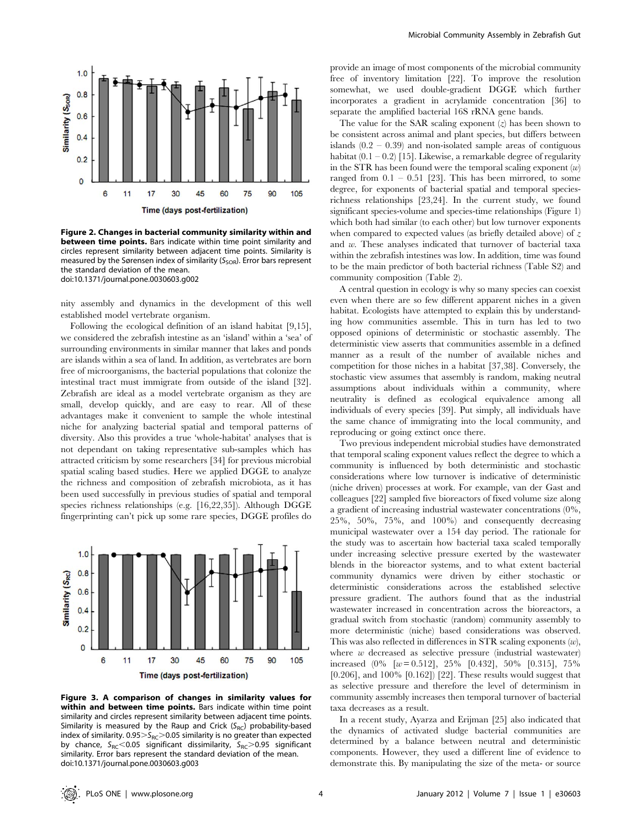

Figure 2. Changes in bacterial community similarity within and **between time points.** Bars indicate within time point similarity and circles represent similarity between adjacent time points. Similarity is measured by the Sørensen index of similarity ( $S<sub>SOR</sub>$ ). Error bars represent the standard deviation of the mean. doi:10.1371/journal.pone.0030603.g002

nity assembly and dynamics in the development of this well established model vertebrate organism.

Following the ecological definition of an island habitat [9,15], we considered the zebrafish intestine as an 'island' within a 'sea' of surrounding environments in similar manner that lakes and ponds are islands within a sea of land. In addition, as vertebrates are born free of microorganisms, the bacterial populations that colonize the intestinal tract must immigrate from outside of the island [32]. Zebrafish are ideal as a model vertebrate organism as they are small, develop quickly, and are easy to rear. All of these advantages make it convenient to sample the whole intestinal niche for analyzing bacterial spatial and temporal patterns of diversity. Also this provides a true 'whole-habitat' analyses that is not dependant on taking representative sub-samples which has attracted criticism by some researchers [34] for previous microbial spatial scaling based studies. Here we applied DGGE to analyze the richness and composition of zebrafish microbiota, as it has been used successfully in previous studies of spatial and temporal species richness relationships (e.g. [16,22,35]). Although DGGE fingerprinting can't pick up some rare species, DGGE profiles do



Figure 3. A comparison of changes in similarity values for within and between time points. Bars indicate within time point similarity and circles represent similarity between adjacent time points. Similarity is measured by the Raup and Crick  $(S_{RC})$  probability-based index of similarity.  $0.95 > S_{RC} > 0.05$  similarity is no greater than expected by chance,  $S_{RC}$ <0.05 significant dissimilarity,  $S_{RC}$ >0.95 significant similarity. Error bars represent the standard deviation of the mean. doi:10.1371/journal.pone.0030603.g003

provide an image of most components of the microbial community free of inventory limitation [22]. To improve the resolution somewhat, we used double-gradient DGGE which further incorporates a gradient in acrylamide concentration [36] to separate the amplified bacterial 16S rRNA gene bands.

The value for the SAR scaling exponent  $(z)$  has been shown to be consistent across animal and plant species, but differs between islands  $(0.2 - 0.39)$  and non-isolated sample areas of contiguous habitat  $(0.1 - 0.2)$  [15]. Likewise, a remarkable degree of regularity in the STR has been found were the temporal scaling exponent  $(w)$ ranged from  $0.1 - 0.51$  [23]. This has been mirrored, to some degree, for exponents of bacterial spatial and temporal speciesrichness relationships [23,24]. In the current study, we found significant species-volume and species-time relationships (Figure 1) which both had similar (to each other) but low turnover exponents when compared to expected values (as briefly detailed above) of  $z$ and w. These analyses indicated that turnover of bacterial taxa within the zebrafish intestines was low. In addition, time was found to be the main predictor of both bacterial richness (Table S2) and community composition (Table 2).

A central question in ecology is why so many species can coexist even when there are so few different apparent niches in a given habitat. Ecologists have attempted to explain this by understanding how communities assemble. This in turn has led to two opposed opinions of deterministic or stochastic assembly. The deterministic view asserts that communities assemble in a defined manner as a result of the number of available niches and competition for those niches in a habitat [37,38]. Conversely, the stochastic view assumes that assembly is random, making neutral assumptions about individuals within a community, where neutrality is defined as ecological equivalence among all individuals of every species [39]. Put simply, all individuals have the same chance of immigrating into the local community, and reproducing or going extinct once there.

Two previous independent microbial studies have demonstrated that temporal scaling exponent values reflect the degree to which a community is influenced by both deterministic and stochastic considerations where low turnover is indicative of deterministic (niche driven) processes at work. For example, van der Gast and colleagues [22] sampled five bioreactors of fixed volume size along a gradient of increasing industrial wastewater concentrations (0%, 25%, 50%, 75%, and 100%) and consequently decreasing municipal wastewater over a 154 day period. The rationale for the study was to ascertain how bacterial taxa scaled temporally under increasing selective pressure exerted by the wastewater blends in the bioreactor systems, and to what extent bacterial community dynamics were driven by either stochastic or deterministic considerations across the established selective pressure gradient. The authors found that as the industrial wastewater increased in concentration across the bioreactors, a gradual switch from stochastic (random) community assembly to more deterministic (niche) based considerations was observed. This was also reflected in differences in STR scaling exponents  $(w)$ , where  $w$  decreased as selective pressure (industrial wastewater) increased  $(0\%$  [ $w= 0.512$ ], 25% [0.432], 50% [0.315], 75% [0.206], and 100% [0.162]) [22]. These results would suggest that as selective pressure and therefore the level of determinism in community assembly increases then temporal turnover of bacterial taxa decreases as a result.

In a recent study, Ayarza and Erijman [25] also indicated that the dynamics of activated sludge bacterial communities are determined by a balance between neutral and deterministic components. However, they used a different line of evidence to demonstrate this. By manipulating the size of the meta- or source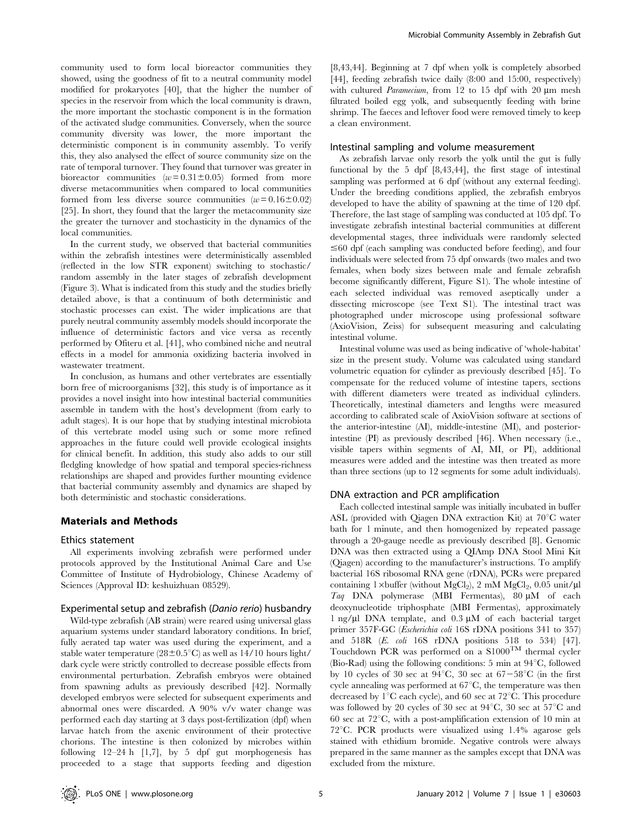community used to form local bioreactor communities they showed, using the goodness of fit to a neutral community model modified for prokaryotes [40], that the higher the number of species in the reservoir from which the local community is drawn, the more important the stochastic component is in the formation of the activated sludge communities. Conversely, when the source community diversity was lower, the more important the deterministic component is in community assembly. To verify this, they also analysed the effect of source community size on the rate of temporal turnover. They found that turnover was greater in bioreactor communities  $(w=0.31\pm0.05)$  formed from more diverse metacommunities when compared to local communities formed from less diverse source communities  $(w=0.16\pm0.02)$ [25]. In short, they found that the larger the metacommunity size the greater the turnover and stochasticity in the dynamics of the local communities.

In the current study, we observed that bacterial communities within the zebrafish intestines were deterministically assembled (reflected in the low STR exponent) switching to stochastic/ random assembly in the later stages of zebrafish development (Figure 3). What is indicated from this study and the studies briefly detailed above, is that a continuum of both deterministic and stochastic processes can exist. The wider implications are that purely neutral community assembly models should incorporate the influence of deterministic factors and vice versa as recently performed by Ofiteru et al. [41], who combined niche and neutral effects in a model for ammonia oxidizing bacteria involved in wastewater treatment.

In conclusion, as humans and other vertebrates are essentially born free of microorganisms [32], this study is of importance as it provides a novel insight into how intestinal bacterial communities assemble in tandem with the host's development (from early to adult stages). It is our hope that by studying intestinal microbiota of this vertebrate model using such or some more refined approaches in the future could well provide ecological insights for clinical benefit. In addition, this study also adds to our still fledgling knowledge of how spatial and temporal species-richness relationships are shaped and provides further mounting evidence that bacterial community assembly and dynamics are shaped by both deterministic and stochastic considerations.

#### Materials and Methods

#### Ethics statement

All experiments involving zebrafish were performed under protocols approved by the Institutional Animal Care and Use Committee of Institute of Hydrobiology, Chinese Academy of Sciences (Approval ID: keshuizhuan 08529).

#### Experimental setup and zebrafish (Danio rerio) husbandry

Wild-type zebrafish (AB strain) were reared using universal glass aquarium systems under standard laboratory conditions. In brief, fully aerated tap water was used during the experiment, and a stable water temperature ( $28\pm0.5^{\circ}$ C) as well as 14/10 hours light/ dark cycle were strictly controlled to decrease possible effects from environmental perturbation. Zebrafish embryos were obtained from spawning adults as previously described [42]. Normally developed embryos were selected for subsequent experiments and abnormal ones were discarded. A 90% v/v water change was performed each day starting at 3 days post-fertilization (dpf) when larvae hatch from the axenic environment of their protective chorions. The intestine is then colonized by microbes within following 12–24 h [1,7], by 5 dpf gut morphogenesis has proceeded to a stage that supports feeding and digestion

[8,43,44]. Beginning at 7 dpf when yolk is completely absorbed [44], feeding zebrafish twice daily (8:00 and 15:00, respectively) with cultured *Paramecium*, from 12 to 15 dpf with 20  $\mu$ m mesh filtrated boiled egg yolk, and subsequently feeding with brine shrimp. The faeces and leftover food were removed timely to keep a clean environment.

#### Intestinal sampling and volume measurement

As zebrafish larvae only resorb the yolk until the gut is fully functional by the 5 dpf [8,43,44], the first stage of intestinal sampling was performed at 6 dpf (without any external feeding). Under the breeding conditions applied, the zebrafish embryos developed to have the ability of spawning at the time of 120 dpf. Therefore, the last stage of sampling was conducted at 105 dpf. To investigate zebrafish intestinal bacterial communities at different developmental stages, three individuals were randomly selected  $\leq 60$  dpf (each sampling was conducted before feeding), and four individuals were selected from 75 dpf onwards (two males and two females, when body sizes between male and female zebrafish become significantly different, Figure S1). The whole intestine of each selected individual was removed aseptically under a dissecting microscope (see Text S1). The intestinal tract was photographed under microscope using professional software (AxioVision, Zeiss) for subsequent measuring and calculating intestinal volume.

Intestinal volume was used as being indicative of 'whole-habitat' size in the present study. Volume was calculated using standard volumetric equation for cylinder as previously described [45]. To compensate for the reduced volume of intestine tapers, sections with different diameters were treated as individual cylinders. Theoretically, intestinal diameters and lengths were measured according to calibrated scale of AxioVision software at sections of the anterior-intestine (AI), middle-intestine (MI), and posteriorintestine (PI) as previously described [46]. When necessary (i.e., visible tapers within segments of AI, MI, or PI), additional measures were added and the intestine was then treated as more than three sections (up to 12 segments for some adult individuals).

#### DNA extraction and PCR amplification

Each collected intestinal sample was initially incubated in buffer ASL (provided with Qiagen DNA extraction Kit) at  $70^{\circ}$ C water bath for 1 minute, and then homogenized by repeated passage through a 20-gauge needle as previously described [8]. Genomic DNA was then extracted using a QIAmp DNA Stool Mini Kit (Qiagen) according to the manufacturer's instructions. To amplify bacterial 16S ribosomal RNA gene (rDNA), PCRs were prepared containing 1×buffer (without MgCl<sub>2</sub>), 2 mM MgCl<sub>2</sub>, 0.05 unit/ $\mu$ l Taq DNA polymerase (MBI Fermentas),  $80 \mu M$  of each deoxynucleotide triphosphate (MBI Fermentas), approximately 1 ng/ $\mu$ l DNA template, and 0.3  $\mu$ M of each bacterial target primer 357F-GC (Escherichia coli 16S rDNA positions 341 to 357) and 518R (E. coli 16S rDNA positions 518 to 534) [47]. Touchdown PCR was performed on a  $\text{S}1000^{\text{TM}}$  thermal cycler (Bio-Rad) using the following conditions: 5 min at  $94^{\circ}$ C, followed by 10 cycles of 30 sec at  $94^{\circ}$ C, 30 sec at  $67-58^{\circ}$ C (in the first cycle annealing was performed at  $67^{\circ}$ C, the temperature was then decreased by  $1^{\circ}$ C each cycle), and 60 sec at 72 $^{\circ}$ C. This procedure was followed by 20 cycles of 30 sec at  $94^{\circ}$ C, 30 sec at  $57^{\circ}$ C and 60 sec at  $72^{\circ}$ C, with a post-amplification extension of 10 min at 72 $^{\circ}$ C. PCR products were visualized using 1.4% agarose gels stained with ethidium bromide. Negative controls were always prepared in the same manner as the samples except that DNA was excluded from the mixture.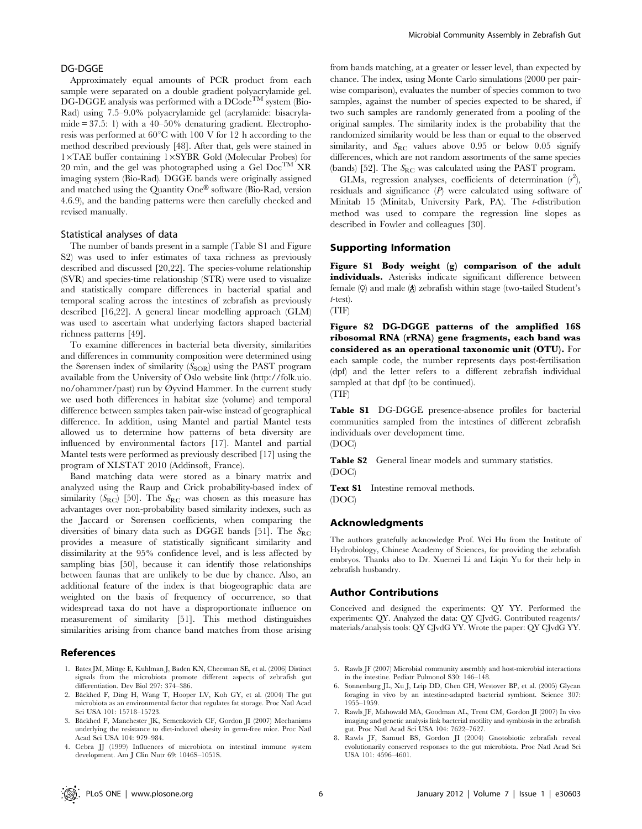### DG-DGGE

Approximately equal amounts of PCR product from each sample were separated on a double gradient polyacrylamide gel.  $DG\text{-}DGGE$  analysis was performed with a  $DCode^{TM}$  system (Bio-Rad) using 7.5–9.0% polyacrylamide gel (acrylamide: bisacrylamide  $= 37.5$ : 1) with a 40–50% denaturing gradient. Electrophoresis was performed at  $60^{\circ}$ C with 100 V for 12 h according to the method described previously [48]. After that, gels were stained in 1×TAE buffer containing 1×SYBR Gold (Molecular Probes) for 20 min, and the gel was photographed using a Gel  $Doc^{TM}XR$ imaging system (Bio-Rad). DGGE bands were originally assigned and matched using the Quantity One® software (Bio-Rad, version 4.6.9), and the banding patterns were then carefully checked and revised manually.

#### Statistical analyses of data

The number of bands present in a sample (Table S1 and Figure S2) was used to infer estimates of taxa richness as previously described and discussed [20,22]. The species-volume relationship (SVR) and species-time relationship (STR) were used to visualize and statistically compare differences in bacterial spatial and temporal scaling across the intestines of zebrafish as previously described [16,22]. A general linear modelling approach (GLM) was used to ascertain what underlying factors shaped bacterial richness patterns [49].

To examine differences in bacterial beta diversity, similarities and differences in community composition were determined using the Sørensen index of similarity  $(S<sub>SOR</sub>)$  using the PAST program available from the University of Oslo website link (http://folk.uio. no/ohammer/past) run by Øyvind Hammer. In the current study we used both differences in habitat size (volume) and temporal difference between samples taken pair-wise instead of geographical difference. In addition, using Mantel and partial Mantel tests allowed us to determine how patterns of beta diversity are influenced by environmental factors [17]. Mantel and partial Mantel tests were performed as previously described [17] using the program of XLSTAT 2010 (Addinsoft, France).

Band matching data were stored as a binary matrix and analyzed using the Raup and Crick probability-based index of similarity  $(S_{RC})$  [50]. The  $S_{RC}$  was chosen as this measure has advantages over non-probability based similarity indexes, such as the Jaccard or Sørensen coefficients, when comparing the diversities of binary data such as DGGE bands [51]. The  $S_{\rm RC}$ provides a measure of statistically significant similarity and dissimilarity at the 95% confidence level, and is less affected by sampling bias [50], because it can identify those relationships between faunas that are unlikely to be due by chance. Also, an additional feature of the index is that biogeographic data are weighted on the basis of frequency of occurrence, so that widespread taxa do not have a disproportionate influence on measurement of similarity [51]. This method distinguishes similarities arising from chance band matches from those arising

#### References

- 1. Bates JM, Mittge E, Kuhlman J, Baden KN, Cheesman SE, et al. (2006) Distinct signals from the microbiota promote different aspects of zebrafish gut differentiation. Dev Biol 297: 374–386.
- 2. Bäckhed F, Ding H, Wang T, Hooper LV, Koh GY, et al. (2004) The gut microbiota as an environmental factor that regulates fat storage. Proc Natl Acad Sci USA 101: 15718–15723.
- 3. Bäckhed F, Manchester JK, Semenkovich CF, Gordon JI (2007) Mechanisms underlying the resistance to diet-induced obesity in germ-free mice. Proc Natl Acad Sci USA 104: 979–984.
- 4. Cebra JJ (1999) Influences of microbiota on intestinal immune system development. Am J Clin Nutr 69: 1046S–1051S.

from bands matching, at a greater or lesser level, than expected by chance. The index, using Monte Carlo simulations (2000 per pairwise comparison), evaluates the number of species common to two samples, against the number of species expected to be shared, if two such samples are randomly generated from a pooling of the original samples. The similarity index is the probability that the randomized similarity would be less than or equal to the observed similarity, and  $S_{RC}$  values above 0.95 or below 0.05 signify differences, which are not random assortments of the same species (bands) [52]. The  $S_{\rm RC}$  was calculated using the PAST program.

GLMs, regression analyses, coefficients of determination  $(r^2)$ , residuals and significance  $(P)$  were calculated using software of Minitab 15 (Minitab, University Park, PA). The t-distribution method was used to compare the regression line slopes as described in Fowler and colleagues [30].

#### Supporting Information

Figure S1 Body weight (g) comparison of the adult individuals. Asterisks indicate significant difference between female  $\varphi$  and male  $\varphi$  zebrafish within stage (two-tailed Student's t-test).

(TIF)

Figure S2 DG-DGGE patterns of the amplified 16S ribosomal RNA (rRNA) gene fragments, each band was considered as an operational taxonomic unit (OTU). For each sample code, the number represents days post-fertilisation (dpf) and the letter refers to a different zebrafish individual sampled at that dpf (to be continued). (TIF)

Table S1 DG-DGGE presence-absence profiles for bacterial communities sampled from the intestines of different zebrafish individuals over development time.

(DOC)

Table S2 General linear models and summary statistics. (DOC)

Text S1 Intestine removal methods. (DOC)

#### Acknowledgments

The authors gratefully acknowledge Prof. Wei Hu from the Institute of Hydrobiology, Chinese Academy of Sciences, for providing the zebrafish embryos. Thanks also to Dr. Xuemei Li and Liqin Yu for their help in zebrafish husbandry.

### Author Contributions

Conceived and designed the experiments: QY YY. Performed the experiments: QY. Analyzed the data: QY CJvdG. Contributed reagents/ materials/analysis tools: QY CJvdG YY. Wrote the paper: QY CJvdG YY.

- 5. Rawls JF (2007) Microbial community assembly and host-microbial interactions in the intestine. Pediatr Pulmonol S30: 146–148.
- 6. Sonnenburg JL, Xu J, Leip DD, Chen CH, Westover BP, et al. (2005) Glycan foraging in vivo by an intestine-adapted bacterial symbiont. Science 307: 1955–1959.
- 7. Rawls JF, Mahowald MA, Goodman AL, Trent CM, Gordon JI (2007) In vivo imaging and genetic analysis link bacterial motility and symbiosis in the zebrafish gut. Proc Natl Acad Sci USA 104: 7622–7627.
- 8. Rawls JF, Samuel BS, Gordon JI (2004) Gnotobiotic zebrafish reveal evolutionarily conserved responses to the gut microbiota. Proc Natl Acad Sci USA 101: 4596–4601.